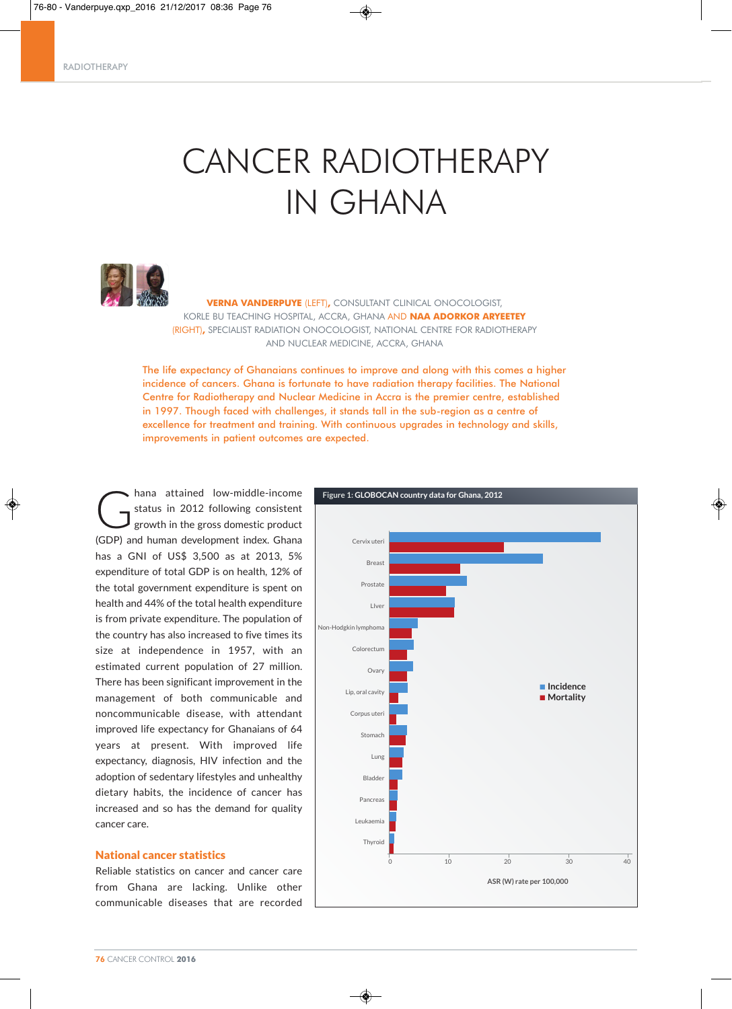# CANCER RADIOTHERAPY IN GHANA



**VERNA VANDERPUYE** (LEFT)**,** CONSULTANT CLINICAL ONOCOLOGIST, KORLE BU TEACHING HOSPITAL, ACCRA, GHANA AND **NAA ADORKOR ARYEETEY** (RIGHT)**,** SPECIALIST RADIATION ONOCOLOGIST, NATIONAL CENTRE FOR RADIOTHERAPY AND NUCLEAR MEDICINE, ACCRA, GHANA

The life expectancy of Ghanaians continues to improve and along with this comes a higher incidence of cancers. Ghana is fortunate to have radiation therapy facilities. The National Centre for Radiotherapy and Nuclear Medicine in Accra is the premier centre, established in 1997. Though faced with challenges, it stands tall in the sub-region as a centre of excellence for treatment and training. With continuous upgrades in technology and skills, improvements in patient outcomes are expected.

hana attained low-middle-income<br>status in 2012 following consistent<br>growth in the gross domestic product status in 2012 following consistent growth in the gross domestic product (GDP) and human development index. Ghana has a GNI of US\$ 3,500 as at 2013, 5% expenditure of total GDP is on health, 12% of the total government expenditure is spent on health and 44% of the total health expenditure is from private expenditure. The population of the country has also increased to five times its size at independence in 1957, with an estimated current population of 27 million. There has been significant improvement in the management of both communicable and noncommunicable disease, with attendant improved life expectancy for Ghanaians of 64 years at present. With improved life expectancy, diagnosis, HIV infection and the adoption of sedentary lifestyles and unhealthy dietary habits, the incidence of cancer has increased and so has the demand for quality cancer care.

# National cancer statistics

Reliable statistics on cancer and cancer care from Ghana are lacking. Unlike other communicable diseases that are recorded

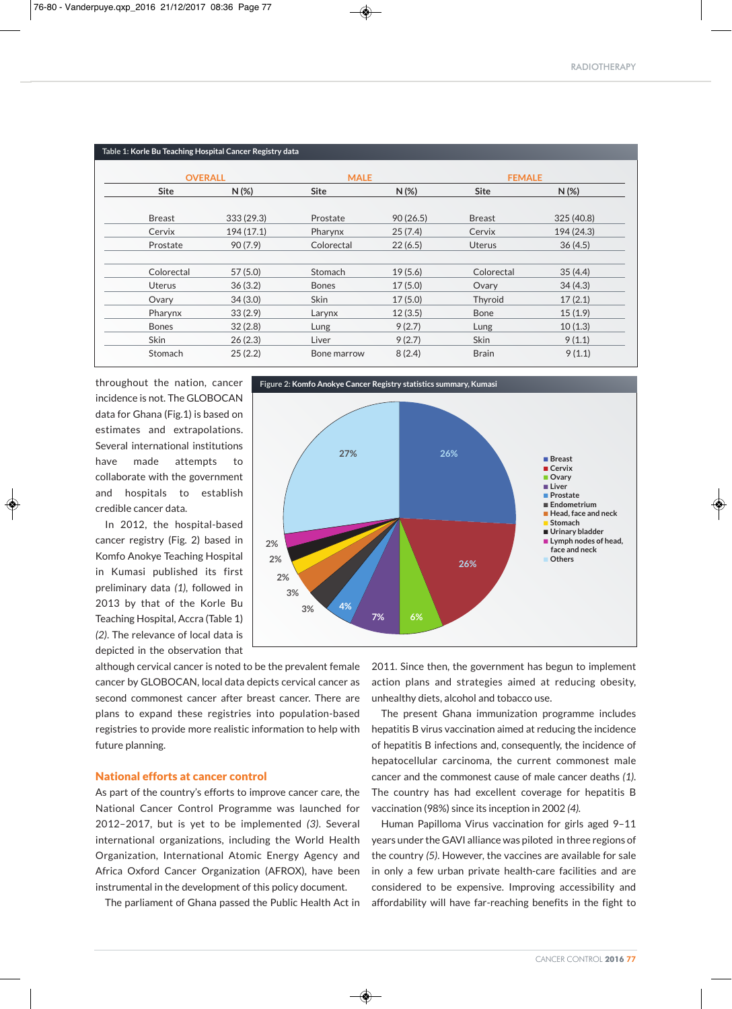| Table 1: Korle Bu Teaching Hospital Cancer Registry data |                |              |             |               |               |
|----------------------------------------------------------|----------------|--------------|-------------|---------------|---------------|
|                                                          | <b>OVERALL</b> |              | <b>MALE</b> |               | <b>FEMALE</b> |
| <b>Site</b>                                              | $N(\%)$        | <b>Site</b>  | $N(\%)$     | <b>Site</b>   | $N(\%)$       |
| <b>Breast</b>                                            | 333 (29.3)     | Prostate     | 90(26.5)    | <b>Breast</b> | 325 (40.8)    |
| Cervix                                                   | 194 (17.1)     | Pharynx      | 25(7.4)     | Cervix        | 194 (24.3)    |
| Prostate                                                 | 90(7.9)        | Colorectal   | 22(6.5)     | <b>Uterus</b> | 36(4.5)       |
| Colorectal                                               | 57(5.0)        | Stomach      | 19(5.6)     | Colorectal    | 35(4.4)       |
| <b>Uterus</b>                                            | 36(3.2)        | <b>Bones</b> | 17(5.0)     | Ovary         | 34(4.3)       |
| Ovary                                                    | 34(3.0)        | <b>Skin</b>  | 17(5.0)     | Thyroid       | 17(2.1)       |
| Pharynx                                                  | 33(2.9)        | Larynx       | 12(3.5)     | <b>Bone</b>   | 15(1.9)       |
| <b>Bones</b>                                             | 32(2.8)        | Lung         | 9(2.7)      | Lung          | 10(1.3)       |
| Skin                                                     | 26(2.3)        | Liver        | 9(2.7)      | Skin          | 9(1.1)        |
| Stomach                                                  | 25(2.2)        | Bone marrow  | 8(2.4)      | <b>Brain</b>  | 9(1.1)        |

throughout the nation, cancer incidence is not. The GLOBOCAN data for Ghana (Fig.1) is based on estimates and extrapolations. Several international institutions have made attempts to collaborate with the government and hospitals to establish credible cancer data.

 $\sqrt{20}$ 

In 2012, the hospital-based cancer registry (Fig. 2) based in Komfo Anokye Teaching Hospital in Kumasi published its first preliminary data *(1),* followed in 2013 by that of the Korle Bu Teaching Hospital, Accra (Table 1) *(2)*. The relevance of local data is depicted in the observation that



although cervical cancer is noted to be the prevalent female cancer by GLOBOCAN, local data depicts cervical cancer as second commonest cancer after breast cancer. There are plans to expand these registries into population-based registries to provide more realistic information to help with future planning.

#### National efforts at cancer control

As part of the country's efforts to improve cancer care, the National Cancer Control Programme was launched for 2012–2017, but is yet to be implemented *(3)*. Several international organizations, including the World Health Organization, International Atomic Energy Agency and Africa Oxford Cancer Organization (AFROX), have been instrumental in the development of this policy document.

The parliament of Ghana passed the Public Health Act in

2011. Since then, the government has begun to implement action plans and strategies aimed at reducing obesity, unhealthy diets, alcohol and tobacco use.

The present Ghana immunization programme includes hepatitis B virus vaccination aimed at reducing the incidence of hepatitis B infections and, consequently, the incidence of hepatocellular carcinoma, the current commonest male cancer and the commonest cause of male cancer deaths *(1)*. The country has had excellent coverage for hepatitis B vaccination (98%) since its inception in 2002 *(4).*

Human Papilloma Virus vaccination for girls aged 9–11 years under the GAVI alliance was piloted in three regions of the country *(5)*. However, the vaccines are available for sale in only a few urban private health-care facilities and are considered to be expensive. Improving accessibility and affordability will have far-reaching benefits in the fight to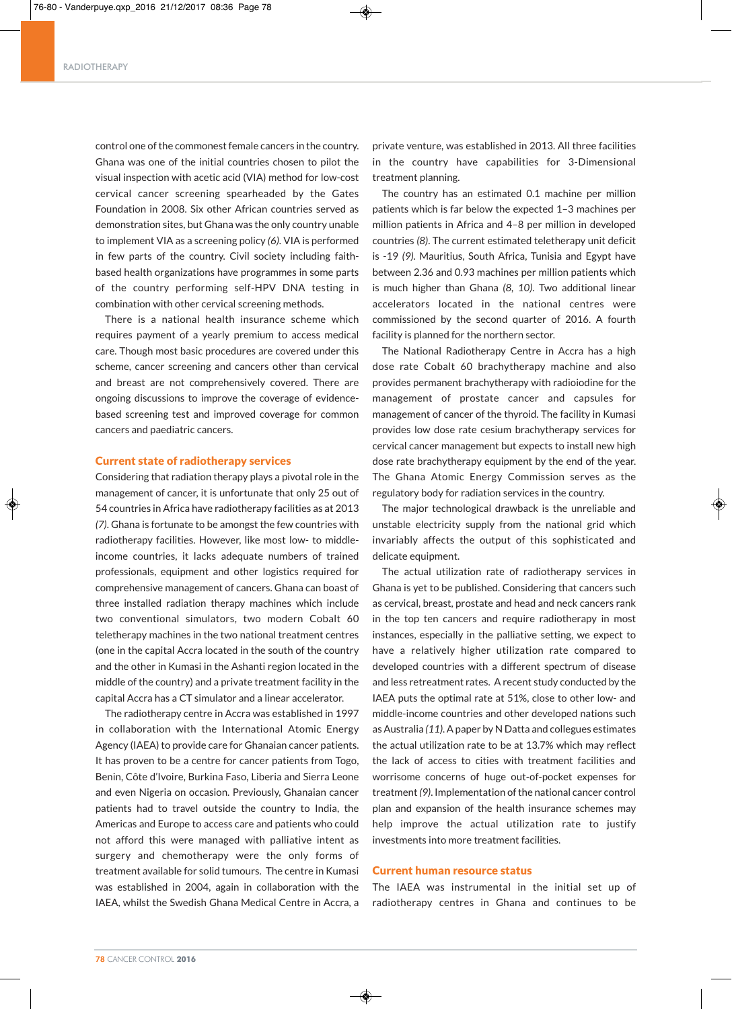#### RADIOTHERAPY

control one of the commonest female cancers in the country. Ghana was one of the initial countries chosen to pilot the visual inspection with acetic acid (VIA) method for low-cost cervical cancer screening spearheaded by the Gates Foundation in 2008. Six other African countries served as demonstration sites, but Ghana was the only country unable to implement VIA as a screening policy *(6)*. VIA is performed in few parts of the country. Civil society including faithbased health organizations have programmes in some parts of the country performing self-HPV DNA testing in combination with other cervical screening methods.

There is a national health insurance scheme which requires payment of a yearly premium to access medical care. Though most basic procedures are covered under this scheme, cancer screening and cancers other than cervical and breast are not comprehensively covered. There are ongoing discussions to improve the coverage of evidencebased screening test and improved coverage for common cancers and paediatric cancers.

#### Current state of radiotherapy services

Considering that radiation therapy plays a pivotal role in the management of cancer, it is unfortunate that only 25 out of 54 countries in Africa have radiotherapy facilities as at 2013 *(7)*. Ghana is fortunate to be amongst the few countries with radiotherapy facilities. However, like most low- to middleincome countries, it lacks adequate numbers of trained professionals, equipment and other logistics required for comprehensive management of cancers. Ghana can boast of three installed radiation therapy machines which include two conventional simulators, two modern Cobalt 60 teletherapy machines in the two national treatment centres (one in the capital Accra located in the south of the country and the other in Kumasi in the Ashanti region located in the middle of the country) and a private treatment facility in the capital Accra has a CT simulator and a linear accelerator.

The radiotherapy centre in Accra was established in 1997 in collaboration with the International Atomic Energy Agency (IAEA) to provide care for Ghanaian cancer patients. It has proven to be a centre for cancer patients from Togo, Benin, Côte d'Ivoire, Burkina Faso, Liberia and Sierra Leone and even Nigeria on occasion. Previously, Ghanaian cancer patients had to travel outside the country to India, the Americas and Europe to access care and patients who could not afford this were managed with palliative intent as surgery and chemotherapy were the only forms of treatment available for solid tumours. The centre in Kumasi was established in 2004, again in collaboration with the IAEA, whilst the Swedish Ghana Medical Centre in Accra, a private venture, was established in 2013. All three facilities in the country have capabilities for 3-Dimensional treatment planning.

The country has an estimated 0.1 machine per million patients which is far below the expected 1–3 machines per million patients in Africa and 4–8 per million in developed countries *(8)*. The current estimated teletherapy unit deficit is -19 *(9)*. Mauritius, South Africa, Tunisia and Egypt have between 2.36 and 0.93 machines per million patients which is much higher than Ghana *(8, 10)*. Two additional linear accelerators located in the national centres were commissioned by the second quarter of 2016. A fourth facility is planned for the northern sector.

The National Radiotherapy Centre in Accra has a high dose rate Cobalt 60 brachytherapy machine and also provides permanent brachytherapy with radioiodine for the management of prostate cancer and capsules for management of cancer of the thyroid. The facility in Kumasi provides low dose rate cesium brachytherapy services for cervical cancer management but expects to install new high dose rate brachytherapy equipment by the end of the year. The Ghana Atomic Energy Commission serves as the regulatory body for radiation services in the country.

The major technological drawback is the unreliable and unstable electricity supply from the national grid which invariably affects the output of this sophisticated and delicate equipment.

The actual utilization rate of radiotherapy services in Ghana is yet to be published. Considering that cancers such as cervical, breast, prostate and head and neck cancers rank in the top ten cancers and require radiotherapy in most instances, especially in the palliative setting, we expect to have a relatively higher utilization rate compared to developed countries with a different spectrum of disease and less retreatment rates. A recent study conducted by the IAEA puts the optimal rate at 51%, close to other low- and middle-income countries and other developed nations such asAustralia *(11)*.Apaper by N Datta and collegues estimates the actual utilization rate to be at 13.7% which may reflect the lack of access to cities with treatment facilities and worrisome concerns of huge out-of-pocket expenses for treatment (9). Implementation of the national cancer control plan and expansion of the health insurance schemes may help improve the actual utilization rate to justify investments into more treatment facilities.

## Current human resource status

◈

The IAEA was instrumental in the initial set up of radiotherapy centres in Ghana and continues to be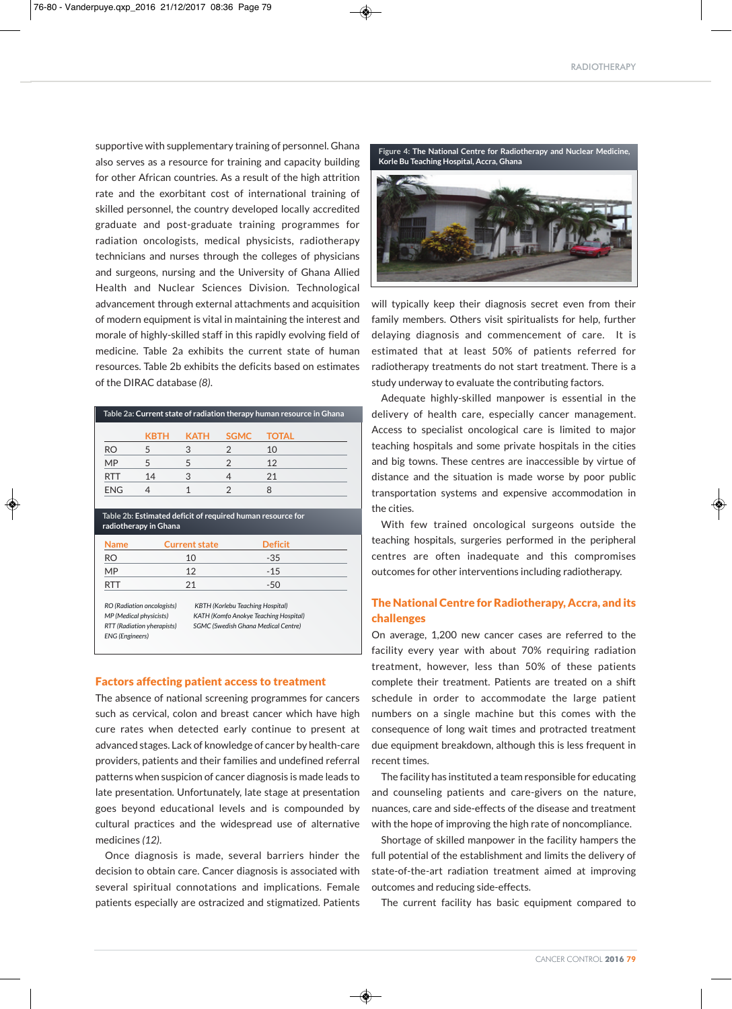supportive with supplementary training of personnel. Ghana also serves as a resource for training and capacity building for other African countries. As a result of the high attrition rate and the exorbitant cost of international training of skilled personnel, the country developed locally accredited graduate and post-graduate training programmes for radiation oncologists, medical physicists, radiotherapy technicians and nurses through the colleges of physicians and surgeons, nursing and the University of Ghana Allied Health and Nuclear Sciences Division. Technological advancement through external attachments and acquisition of modern equipment is vital in maintaining the interest and morale of highly-skilled staff in this rapidly evolving field of medicine. Table 2a exhibits the current state of human resources. Table 2b exhibits the deficits based on estimates of the DIRAC database *(8)*.

| Table 2a: Current state of radiation therapy human resource in Ghana |      |      |             |       |  |  |  |  |
|----------------------------------------------------------------------|------|------|-------------|-------|--|--|--|--|
|                                                                      | KBTH | КАТН | <b>SGMC</b> | TOTAL |  |  |  |  |
| RO                                                                   |      |      |             | 10    |  |  |  |  |
| <b>MP</b>                                                            |      |      |             | 12    |  |  |  |  |
| <b>RTT</b>                                                           | 14   | 3    |             | 21    |  |  |  |  |
| <b>ENG</b>                                                           |      |      |             |       |  |  |  |  |
|                                                                      |      |      |             |       |  |  |  |  |

**Table 2b: Estimated deficit of required human resource for radiotherapy in Ghana**

| <b>Name</b> | <b>Current state</b> | <b>Deficit</b> |  |
|-------------|----------------------|----------------|--|
| <b>RO</b>   | 10                   | $-35$          |  |
| <b>MP</b>   | 12                   | $-1.5$         |  |
| RTT         | 21                   | -50            |  |
|             |                      |                |  |

*RO (Radiation oncologists) KBTH (Korlebu Teaching Hospital) MP (Medical physicists) KATH (Komfo Anokye Teaching Hospital) RTT (Radiation yherapists) SGMC (Swedish Ghana Medical Centre) ENG (Engineers)*

#### Factors affecting patient access to treatment

The absence of national screening programmes for cancers such as cervical, colon and breast cancer which have high cure rates when detected early continue to present at advanced stages. Lack of knowledge of cancer by health-care providers, patients and their families and undefined referral patterns when suspicion of cancer diagnosis is made leads to late presentation. Unfortunately, late stage at presentation goes beyond educational levels and is compounded by cultural practices and the widespread use of alternative medicines *(12)*.

Once diagnosis is made, several barriers hinder the decision to obtain care. Cancer diagnosis is associated with several spiritual connotations and implications. Female patients especially are ostracized and stigmatized. Patients



will typically keep their diagnosis secret even from their family members. Others visit spiritualists for help, further delaying diagnosis and commencement of care. It is estimated that at least 50% of patients referred for radiotherapy treatments do not start treatment. There is a study underway to evaluate the contributing factors.

Adequate highly-skilled manpower is essential in the delivery of health care, especially cancer management. Access to specialist oncological care is limited to major teaching hospitals and some private hospitals in the cities and big towns. These centres are inaccessible by virtue of distance and the situation is made worse by poor public transportation systems and expensive accommodation in the cities.

With few trained oncological surgeons outside the teaching hospitals, surgeries performed in the peripheral centres are often inadequate and this compromises outcomes for other interventions including radiotherapy.

## The National Centre for Radiotherapy, Accra, and its challenges

On average, 1,200 new cancer cases are referred to the facility every year with about 70% requiring radiation treatment, however, less than 50% of these patients complete their treatment. Patients are treated on a shift schedule in order to accommodate the large patient numbers on a single machine but this comes with the consequence of long wait times and protracted treatment due equipment breakdown, although this is less frequent in recent times.

The facility has instituted a team responsible for educating and counseling patients and care-givers on the nature, nuances, care and side-effects of the disease and treatment with the hope of improving the high rate of noncompliance.

Shortage of skilled manpower in the facility hampers the full potential of the establishment and limits the delivery of state-of-the-art radiation treatment aimed at improving outcomes and reducing side-effects.

The current facility has basic equipment compared to